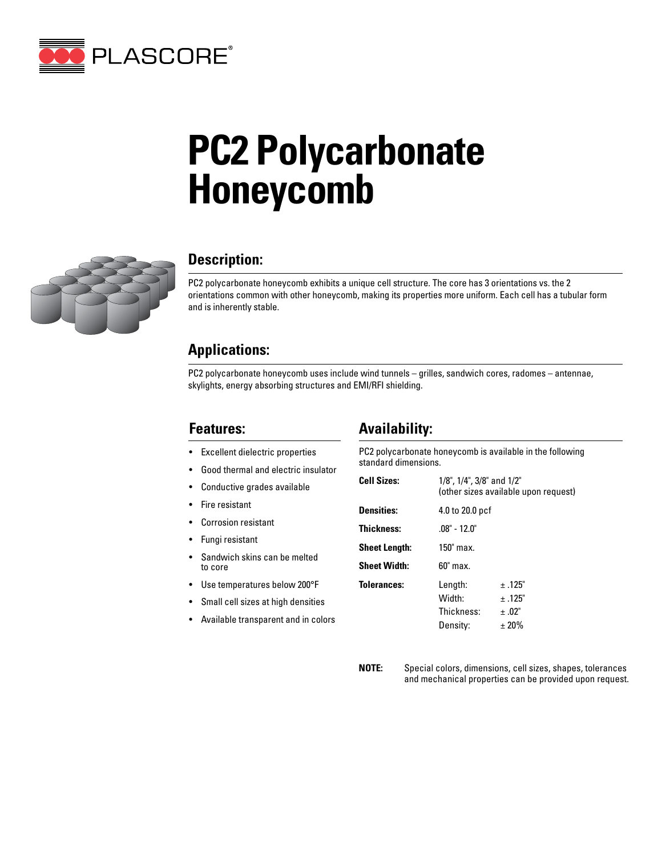

# **PC2 Polycarbonate Honeycomb**



### **Description:**

PC2 polycarbonate honeycomb exhibits a unique cell structure. The core has 3 orientations vs. the 2 orientations common with other honeycomb, making its properties more uniform. Each cell has a tubular form and is inherently stable.

#### **Applications:**

PC2 polycarbonate honeycomb uses include wind tunnels – grilles, sandwich cores, radomes – antennae, skylights, energy absorbing structures and EMI/RFI shielding.

#### **Features:**

- Excellent dielectric properties
- Good thermal and electric insulator
- Conductive grades available
- Fire resistant
- Corrosion resistant
- Fungi resistant
- Sandwich skins can be melted to core
- Use temperatures below 200°F
- Small cell sizes at high densities
- Available transparent and in colors

#### **Availability:**

PC2 polycarbonate honeycomb is available in the following standard dimensions.

| <b>Cell Sizes:</b>   | 1/8", 1/4", 3/8" and 1/2"<br>(other sizes available upon request) |             |  |
|----------------------|-------------------------------------------------------------------|-------------|--|
| <b>Densities:</b>    | 4.0 to 20.0 pcf                                                   |             |  |
| <b>Thickness:</b>    | $.08" - 12.0"$                                                    |             |  |
| <b>Sheet Length:</b> | 150" max.                                                         |             |  |
| <b>Sheet Width:</b>  | $60"$ max.                                                        |             |  |
| <b>Tolerances:</b>   | Length:                                                           | $\pm$ .125" |  |
|                      | Width:                                                            | $\pm$ .125" |  |
|                      | Thickness:                                                        | + .02"      |  |
|                      | Density:                                                          | ± 20%       |  |
|                      |                                                                   |             |  |

**NOTE:** Special colors, dimensions, cell sizes, shapes, tolerances and mechanical properties can be provided upon request.